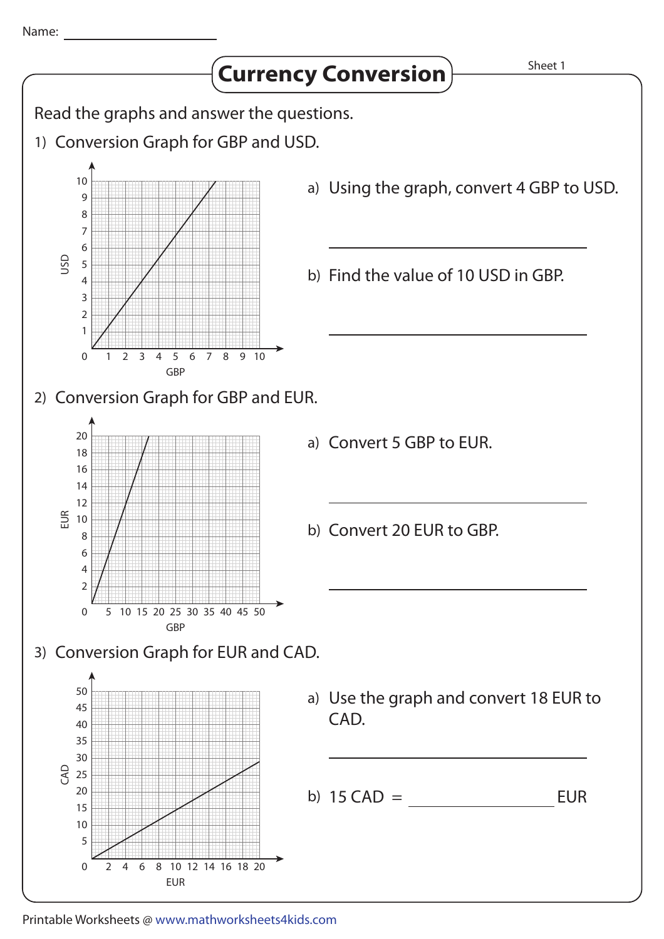